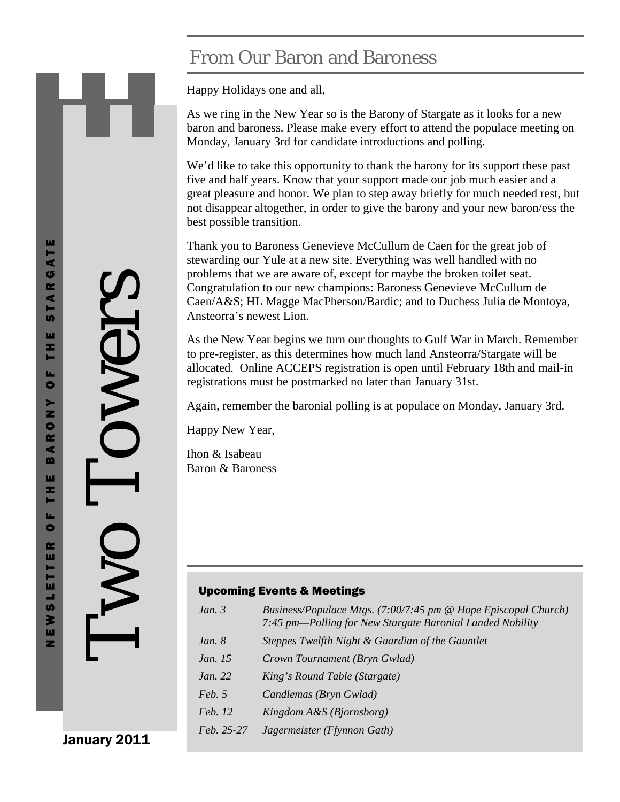# From Our Baron and Baroness

Happy Holidays one and all,

As we ring in the New Year so is the Barony of Stargate as it looks for a new baron and baroness. Please make every effort to attend the populace meeting on Monday, January 3rd for candidate introductions and polling.

We'd like to take this opportunity to thank the barony for its support these past five and half years. Know that your support made our job much easier and a great pleasure and honor. We plan to step away briefly for much needed rest, but not disappear altogether, in order to give the barony and your new baron/ess the best possible transition.

Thank you to Baroness Genevieve McCullum de Caen for the great job of stewarding our Yule at a new site. Everything was well handled with no problems that we are aware of, except for maybe the broken toilet seat. Congratulation to our new champions: Baroness Genevieve McCullum de Caen/A&S; HL Magge MacPherson/Bardic; and to Duchess Julia de Montoya, Ansteorra's newest Lion.

As the New Year begins we turn our thoughts to Gulf War in March. Remember to pre-register, as this determines how much land Ansteorra/Stargate will be allocated. Online ACCEPS registration is open until February 18th and mail-in registrations must be postmarked no later than January 31st.

Again, remember the baronial polling is at populace on Monday, January 3rd.

Happy New Year,

Ihon & Isabeau Baron & Baroness

## Upcoming Events & Meetings

| Jan. $3$       | Business/Populace Mtgs. (7:00/7:45 pm @ Hope Episcopal Church)<br>7:45 pm—Polling for New Stargate Baronial Landed Nobility |
|----------------|-----------------------------------------------------------------------------------------------------------------------------|
| Jan. $8$       | Steppes Twelfth Night & Guardian of the Gauntlet                                                                            |
| <i>Jan.</i> 15 | Crown Tournament (Bryn Gwlad)                                                                                               |
| <i>Jan.</i> 22 | King's Round Table (Stargate)                                                                                               |
| Feb. 5         | Candlemas (Bryn Gwlad)                                                                                                      |
| Feb. 12        | Kingdom A&S (Bjornsborg)                                                                                                    |
| Feb. 25-27     | Jagermeister (Ffynnon Gath)                                                                                                 |

January 2011 Towners IWO

OWerS

NEWSLETTER OF THE BARO NY OF THE STARGATE

 $\bullet$ œ ш Ē ш J. **u** ≩ ш z

 $\mathbf{\Sigma}$  $\bullet$ œ  $\blacktriangleleft$ m ш Ŧ н щ

ш  $\overline{1}$ ය

œ  $\overline{I}$ **S** ш z Н щ  $\bullet$ 

January 2011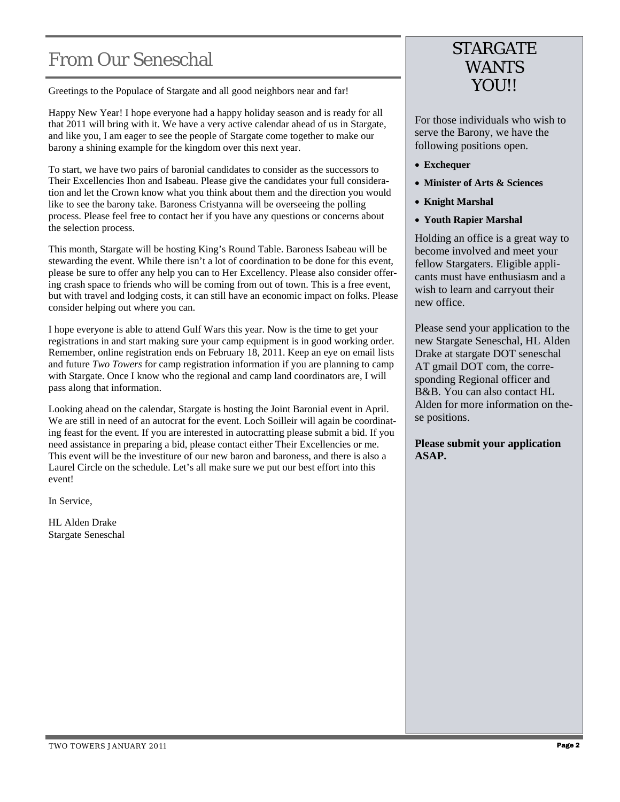# From Our Seneschal

Greetings to the Populace of Stargate and all good neighbors near and far!

Happy New Year! I hope everyone had a happy holiday season and is ready for all that 2011 will bring with it. We have a very active calendar ahead of us in Stargate, and like you, I am eager to see the people of Stargate come together to make our barony a shining example for the kingdom over this next year.

To start, we have two pairs of baronial candidates to consider as the successors to Their Excellencies Ihon and Isabeau. Please give the candidates your full consideration and let the Crown know what you think about them and the direction you would like to see the barony take. Baroness Cristyanna will be overseeing the polling process. Please feel free to contact her if you have any questions or concerns about the selection process.

This month, Stargate will be hosting King's Round Table. Baroness Isabeau will be stewarding the event. While there isn't a lot of coordination to be done for this event, please be sure to offer any help you can to Her Excellency. Please also consider offering crash space to friends who will be coming from out of town. This is a free event, but with travel and lodging costs, it can still have an economic impact on folks. Please consider helping out where you can.

I hope everyone is able to attend Gulf Wars this year. Now is the time to get your registrations in and start making sure your camp equipment is in good working order. Remember, online registration ends on February 18, 2011. Keep an eye on email lists and future *Two Towers* for camp registration information if you are planning to camp with Stargate. Once I know who the regional and camp land coordinators are, I will pass along that information.

Looking ahead on the calendar, Stargate is hosting the Joint Baronial event in April. We are still in need of an autocrat for the event. Loch Soilleir will again be coordinating feast for the event. If you are interested in autocratting please submit a bid. If you need assistance in preparing a bid, please contact either Their Excellencies or me. This event will be the investiture of our new baron and baroness, and there is also a Laurel Circle on the schedule. Let's all make sure we put our best effort into this event!

In Service,

HL Alden Drake Stargate Seneschal

## STARGATE WANTS YOU!!!

For those individuals who wish to serve the Barony, we have the following positions open.

- **Exchequer**
- **Minister of Arts & Sciences**
- **Knight Marshal**
- **Youth Rapier Marshal**

Holding an office is a great way to become involved and meet your fellow Stargaters. Eligible applicants must have enthusiasm and a wish to learn and carryout their new office.

Please send your application to the new Stargate Seneschal, HL Alden Drake at stargate DOT seneschal AT gmail DOT com, the corresponding Regional officer and B&B. You can also contact HL Alden for more information on these positions.

**Please submit your application ASAP.**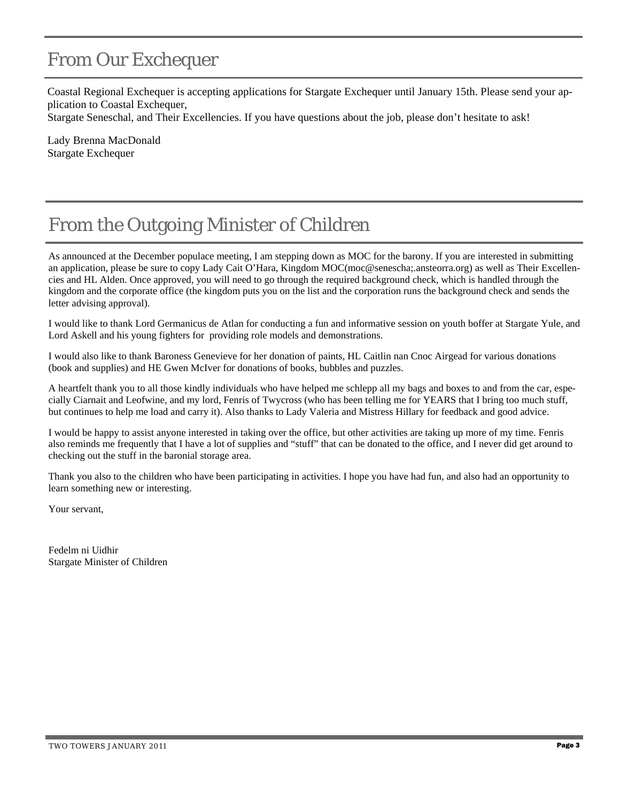## From Our Exchequer

Coastal Regional Exchequer is accepting applications for Stargate Exchequer until January 15th. Please send your application to Coastal Exchequer,

Stargate Seneschal, and Their Excellencies. If you have questions about the job, please don't hesitate to ask!

Lady Brenna MacDonald Stargate Exchequer

# From the Outgoing Minister of Children

As announced at the December populace meeting, I am stepping down as MOC for the barony. If you are interested in submitting an application, please be sure to copy Lady Cait O'Hara, Kingdom MOC(moc@senescha;.ansteorra.org) as well as Their Excellencies and HL Alden. Once approved, you will need to go through the required background check, which is handled through the kingdom and the corporate office (the kingdom puts you on the list and the corporation runs the background check and sends the letter advising approval).

I would like to thank Lord Germanicus de Atlan for conducting a fun and informative session on youth boffer at Stargate Yule, and Lord Askell and his young fighters for providing role models and demonstrations.

I would also like to thank Baroness Genevieve for her donation of paints, HL Caitlin nan Cnoc Airgead for various donations (book and supplies) and HE Gwen McIver for donations of books, bubbles and puzzles.

A heartfelt thank you to all those kindly individuals who have helped me schlepp all my bags and boxes to and from the car, especially Ciarnait and Leofwine, and my lord, Fenris of Twycross (who has been telling me for YEARS that I bring too much stuff, but continues to help me load and carry it). Also thanks to Lady Valeria and Mistress Hillary for feedback and good advice.

I would be happy to assist anyone interested in taking over the office, but other activities are taking up more of my time. Fenris also reminds me frequently that I have a lot of supplies and "stuff" that can be donated to the office, and I never did get around to checking out the stuff in the baronial storage area.

Thank you also to the children who have been participating in activities. I hope you have had fun, and also had an opportunity to learn something new or interesting.

Your servant,

Fedelm ni Uidhir Stargate Minister of Children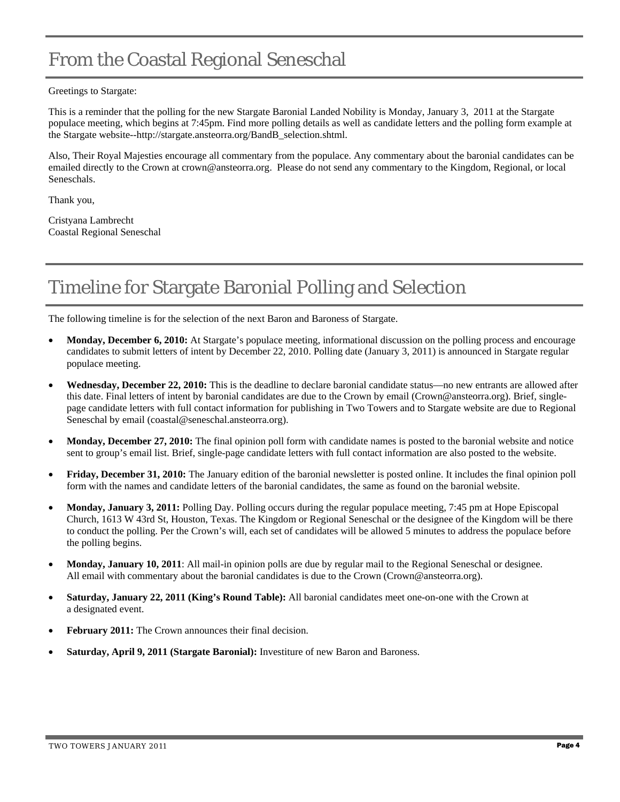# From the Coastal Regional Seneschal

#### Greetings to Stargate:

This is a reminder that the polling for the new Stargate Baronial Landed Nobility is Monday, January 3, 2011 at the Stargate populace meeting, which begins at 7:45pm. Find more polling details as well as candidate letters and the polling form example at the Stargate website--http://stargate.ansteorra.org/BandB\_selection.shtml.

Also, Their Royal Majesties encourage all commentary from the populace. Any commentary about the baronial candidates can be emailed directly to the Crown at crown@ansteorra.org. Please do not send any commentary to the Kingdom, Regional, or local Seneschals.

Thank you,

Cristyana Lambrecht Coastal Regional Seneschal

# Timeline for Stargate Baronial Polling and Selection

The following timeline is for the selection of the next Baron and Baroness of Stargate.

- **Monday, December 6, 2010:** At Stargate's populace meeting, informational discussion on the polling process and encourage candidates to submit letters of intent by December 22, 2010. Polling date (January 3, 2011) is announced in Stargate regular populace meeting.
- **Wednesday, December 22, 2010:** This is the deadline to declare baronial candidate status—no new entrants are allowed after this date. Final letters of intent by baronial candidates are due to the Crown by email (Crown@ansteorra.org). Brief, singlepage candidate letters with full contact information for publishing in Two Towers and to Stargate website are due to Regional Seneschal by email (coastal@seneschal.ansteorra.org).
- **Monday, December 27, 2010:** The final opinion poll form with candidate names is posted to the baronial website and notice sent to group's email list. Brief, single-page candidate letters with full contact information are also posted to the website.
- **Friday, December 31, 2010:** The January edition of the baronial newsletter is posted online. It includes the final opinion poll form with the names and candidate letters of the baronial candidates, the same as found on the baronial website.
- **Monday, January 3, 2011:** Polling Day. Polling occurs during the regular populace meeting, 7:45 pm at Hope Episcopal Church, 1613 W 43rd St, Houston, Texas. The Kingdom or Regional Seneschal or the designee of the Kingdom will be there to conduct the polling. Per the Crown's will, each set of candidates will be allowed 5 minutes to address the populace before the polling begins.
- **Monday, January 10, 2011**: All mail-in opinion polls are due by regular mail to the Regional Seneschal or designee. All email with commentary about the baronial candidates is due to the Crown (Crown@ansteorra.org).
- **Saturday, January 22, 2011 (King's Round Table):** All baronial candidates meet one-on-one with the Crown at a designated event.
- **February 2011:** The Crown announces their final decision.
- **Saturday, April 9, 2011 (Stargate Baronial):** Investiture of new Baron and Baroness.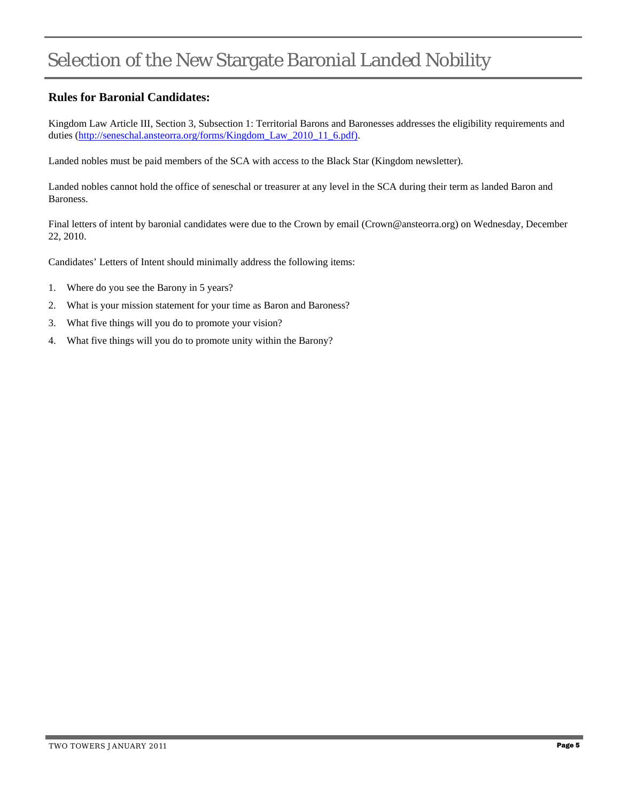# Selection of the New Stargate Baronial Landed Nobility

## **Rules for Baronial Candidates:**

Kingdom Law Article III, Section 3, Subsection 1: Territorial Barons and Baronesses addresses the eligibility requirements and duties (http://seneschal.ansteorra.org/forms/Kingdom\_Law\_2010\_11\_6.pdf).

Landed nobles must be paid members of the SCA with access to the Black Star (Kingdom newsletter).

Landed nobles cannot hold the office of seneschal or treasurer at any level in the SCA during their term as landed Baron and Baroness.

Final letters of intent by baronial candidates were due to the Crown by email (Crown@ansteorra.org) on Wednesday, December 22, 2010.

Candidates' Letters of Intent should minimally address the following items:

- 1. Where do you see the Barony in 5 years?
- 2. What is your mission statement for your time as Baron and Baroness?
- 3. What five things will you do to promote your vision?
- 4. What five things will you do to promote unity within the Barony?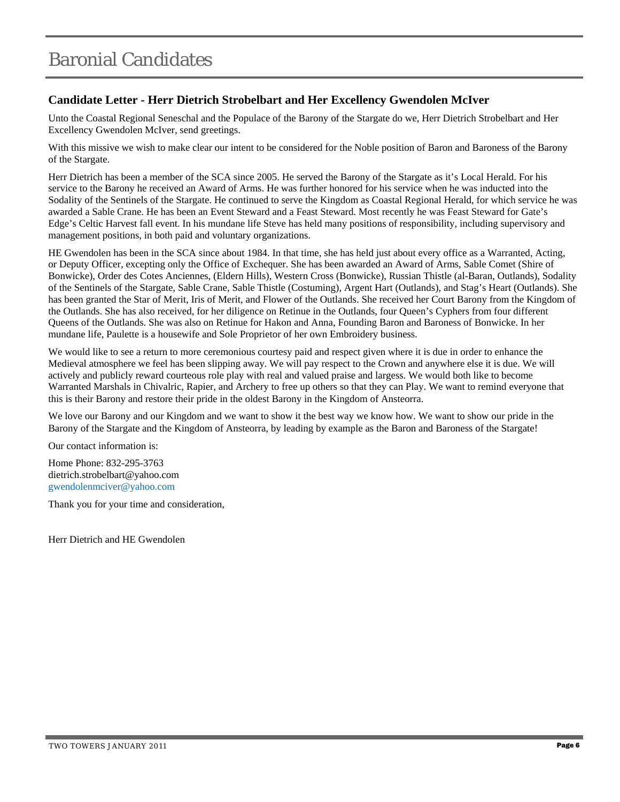## Baronial Candidates

## **Candidate Letter - Herr Dietrich Strobelbart and Her Excellency Gwendolen McIver**

Unto the Coastal Regional Seneschal and the Populace of the Barony of the Stargate do we, Herr Dietrich Strobelbart and Her Excellency Gwendolen McIver, send greetings.

With this missive we wish to make clear our intent to be considered for the Noble position of Baron and Baroness of the Barony of the Stargate.

Herr Dietrich has been a member of the SCA since 2005. He served the Barony of the Stargate as it's Local Herald. For his service to the Barony he received an Award of Arms. He was further honored for his service when he was inducted into the Sodality of the Sentinels of the Stargate. He continued to serve the Kingdom as Coastal Regional Herald, for which service he was awarded a Sable Crane. He has been an Event Steward and a Feast Steward. Most recently he was Feast Steward for Gate's Edge's Celtic Harvest fall event. In his mundane life Steve has held many positions of responsibility, including supervisory and management positions, in both paid and voluntary organizations.

HE Gwendolen has been in the SCA since about 1984. In that time, she has held just about every office as a Warranted, Acting, or Deputy Officer, excepting only the Office of Exchequer. She has been awarded an Award of Arms, Sable Comet (Shire of Bonwicke), Order des Cotes Anciennes, (Eldern Hills), Western Cross (Bonwicke), Russian Thistle (al-Baran, Outlands), Sodality of the Sentinels of the Stargate, Sable Crane, Sable Thistle (Costuming), Argent Hart (Outlands), and Stag's Heart (Outlands). She has been granted the Star of Merit, Iris of Merit, and Flower of the Outlands. She received her Court Barony from the Kingdom of the Outlands. She has also received, for her diligence on Retinue in the Outlands, four Queen's Cyphers from four different Queens of the Outlands. She was also on Retinue for Hakon and Anna, Founding Baron and Baroness of Bonwicke. In her mundane life, Paulette is a housewife and Sole Proprietor of her own Embroidery business.

We would like to see a return to more ceremonious courtesy paid and respect given where it is due in order to enhance the Medieval atmosphere we feel has been slipping away. We will pay respect to the Crown and anywhere else it is due. We will actively and publicly reward courteous role play with real and valued praise and largess. We would both like to become Warranted Marshals in Chivalric, Rapier, and Archery to free up others so that they can Play. We want to remind everyone that this is their Barony and restore their pride in the oldest Barony in the Kingdom of Ansteorra.

We love our Barony and our Kingdom and we want to show it the best way we know how. We want to show our pride in the Barony of the Stargate and the Kingdom of Ansteorra, by leading by example as the Baron and Baroness of the Stargate!

Our contact information is:

Home Phone: 832-295-3763 dietrich.strobelbart@yahoo.com gwendolenmciver@yahoo.com

Thank you for your time and consideration,

Herr Dietrich and HE Gwendolen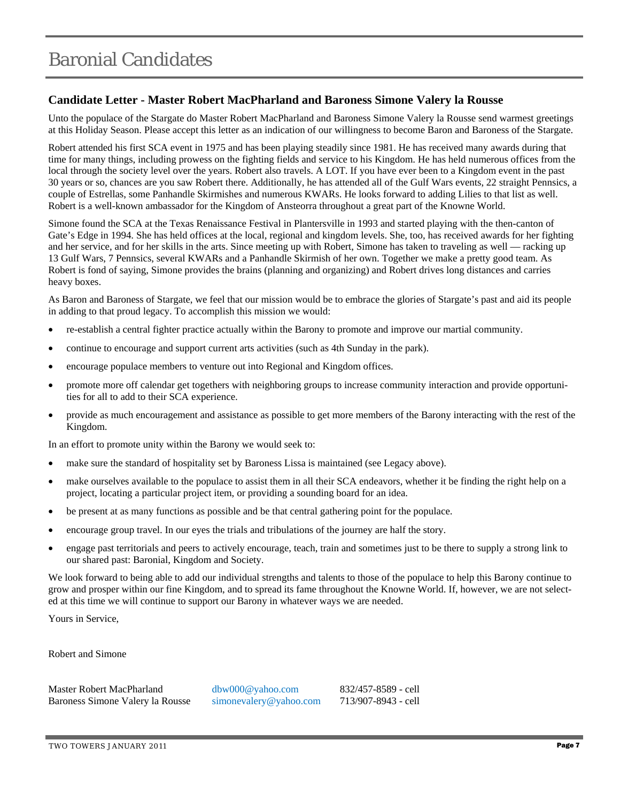## Baronial Candidates

### **Candidate Letter - Master Robert MacPharland and Baroness Simone Valery la Rousse**

Unto the populace of the Stargate do Master Robert MacPharland and Baroness Simone Valery la Rousse send warmest greetings at this Holiday Season. Please accept this letter as an indication of our willingness to become Baron and Baroness of the Stargate.

Robert attended his first SCA event in 1975 and has been playing steadily since 1981. He has received many awards during that time for many things, including prowess on the fighting fields and service to his Kingdom. He has held numerous offices from the local through the society level over the years. Robert also travels. A LOT. If you have ever been to a Kingdom event in the past 30 years or so, chances are you saw Robert there. Additionally, he has attended all of the Gulf Wars events, 22 straight Pennsics, a couple of Estrellas, some Panhandle Skirmishes and numerous KWARs. He looks forward to adding Lilies to that list as well. Robert is a well-known ambassador for the Kingdom of Ansteorra throughout a great part of the Knowne World.

Simone found the SCA at the Texas Renaissance Festival in Plantersville in 1993 and started playing with the then-canton of Gate's Edge in 1994. She has held offices at the local, regional and kingdom levels. She, too, has received awards for her fighting and her service, and for her skills in the arts. Since meeting up with Robert, Simone has taken to traveling as well — racking up 13 Gulf Wars, 7 Pennsics, several KWARs and a Panhandle Skirmish of her own. Together we make a pretty good team. As Robert is fond of saying, Simone provides the brains (planning and organizing) and Robert drives long distances and carries heavy boxes.

As Baron and Baroness of Stargate, we feel that our mission would be to embrace the glories of Stargate's past and aid its people in adding to that proud legacy. To accomplish this mission we would:

- re-establish a central fighter practice actually within the Barony to promote and improve our martial community.
- continue to encourage and support current arts activities (such as 4th Sunday in the park).
- encourage populace members to venture out into Regional and Kingdom offices.
- promote more off calendar get togethers with neighboring groups to increase community interaction and provide opportunities for all to add to their SCA experience.
- provide as much encouragement and assistance as possible to get more members of the Barony interacting with the rest of the Kingdom.

In an effort to promote unity within the Barony we would seek to:

- make sure the standard of hospitality set by Baroness Lissa is maintained (see Legacy above).
- make ourselves available to the populace to assist them in all their SCA endeavors, whether it be finding the right help on a project, locating a particular project item, or providing a sounding board for an idea.
- be present at as many functions as possible and be that central gathering point for the populace.
- encourage group travel. In our eyes the trials and tribulations of the journey are half the story.
- engage past territorials and peers to actively encourage, teach, train and sometimes just to be there to supply a strong link to our shared past: Baronial, Kingdom and Society.

We look forward to being able to add our individual strengths and talents to those of the populace to help this Barony continue to grow and prosper within our fine Kingdom, and to spread its fame throughout the Knowne World. If, however, we are not selected at this time we will continue to support our Barony in whatever ways we are needed.

Yours in Service,

Robert and Simone

Master Robert MacPharland dbw000@yahoo.com 832/457-8589 - cell Baroness Simone Valery la Rousse simonevalery@yahoo.com 713/907-8943 - cell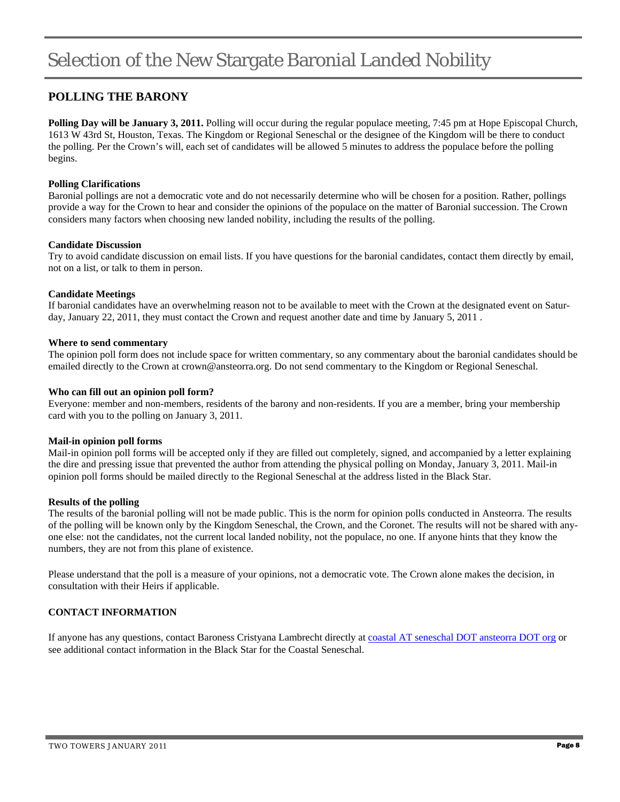## **POLLING THE BARONY**

**Polling Day will be January 3, 2011.** Polling will occur during the regular populace meeting, 7:45 pm at Hope Episcopal Church, 1613 W 43rd St, Houston, Texas. The Kingdom or Regional Seneschal or the designee of the Kingdom will be there to conduct the polling. Per the Crown's will, each set of candidates will be allowed 5 minutes to address the populace before the polling begins.

### **Polling Clarifications**

Baronial pollings are not a democratic vote and do not necessarily determine who will be chosen for a position. Rather, pollings provide a way for the Crown to hear and consider the opinions of the populace on the matter of Baronial succession. The Crown considers many factors when choosing new landed nobility, including the results of the polling.

#### **Candidate Discussion**

Try to avoid candidate discussion on email lists. If you have questions for the baronial candidates, contact them directly by email, not on a list, or talk to them in person.

#### **Candidate Meetings**

If baronial candidates have an overwhelming reason not to be available to meet with the Crown at the designated event on Saturday, January 22, 2011, they must contact the Crown and request another date and time by January 5, 2011 .

### **Where to send commentary**

The opinion poll form does not include space for written commentary, so any commentary about the baronial candidates should be emailed directly to the Crown at crown@ansteorra.org. Do not send commentary to the Kingdom or Regional Seneschal.

### **Who can fill out an opinion poll form?**

Everyone: member and non-members, residents of the barony and non-residents. If you are a member, bring your membership card with you to the polling on January 3, 2011.

#### **Mail-in opinion poll forms**

Mail-in opinion poll forms will be accepted only if they are filled out completely, signed, and accompanied by a letter explaining the dire and pressing issue that prevented the author from attending the physical polling on Monday, January 3, 2011. Mail-in opinion poll forms should be mailed directly to the Regional Seneschal at the address listed in the Black Star.

#### **Results of the polling**

The results of the baronial polling will not be made public. This is the norm for opinion polls conducted in Ansteorra. The results of the polling will be known only by the Kingdom Seneschal, the Crown, and the Coronet. The results will not be shared with anyone else: not the candidates, not the current local landed nobility, not the populace, no one. If anyone hints that they know the numbers, they are not from this plane of existence.

Please understand that the poll is a measure of your opinions, not a democratic vote. The Crown alone makes the decision, in consultation with their Heirs if applicable.

### **CONTACT INFORMATION**

If anyone has any questions, contact Baroness Cristyana Lambrecht directly at coastal AT seneschal DOT ansteorra DOT org or see additional contact information in the Black Star for the Coastal Seneschal.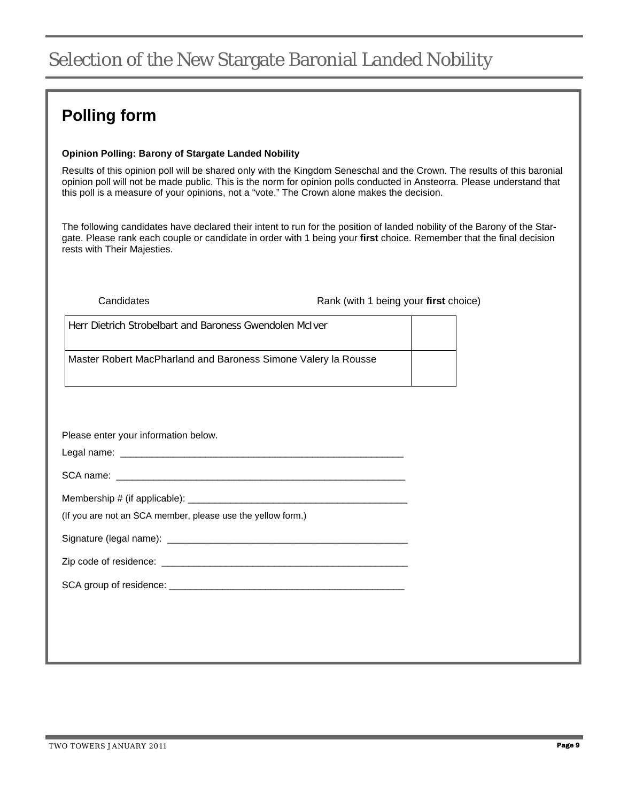## **Polling form**

#### **Opinion Polling: Barony of Stargate Landed Nobility**

Results of this opinion poll will be shared only with the Kingdom Seneschal and the Crown. The results of this baronial opinion poll will not be made public. This is the norm for opinion polls conducted in Ansteorra. Please understand that this poll is a measure of your opinions, not a "vote." The Crown alone makes the decision.

The following candidates have declared their intent to run for the position of landed nobility of the Barony of the Stargate. Please rank each couple or candidate in order with 1 being your **first** choice. Remember that the final decision rests with Their Majesties.

#### Rank (with 1 being your first choice)

| Herr Dietrich Strobelbart and Baroness Gwendolen McIver        |  |
|----------------------------------------------------------------|--|
| Master Robert MacPharland and Baroness Simone Valery la Rousse |  |

| Please enter your information below.                        |  |  |  |
|-------------------------------------------------------------|--|--|--|
|                                                             |  |  |  |
| (If you are not an SCA member, please use the yellow form.) |  |  |  |
|                                                             |  |  |  |
|                                                             |  |  |  |
|                                                             |  |  |  |
|                                                             |  |  |  |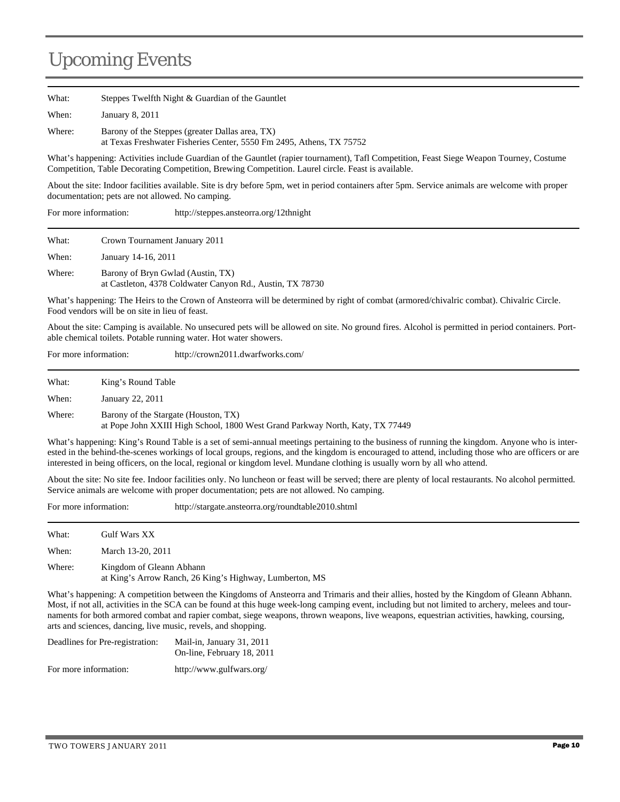# Upcoming Events

| What:                                                     | Steppes Twelfth Night & Guardian of the Gauntlet                                                                                                                                                                                               |  |  |  |  |
|-----------------------------------------------------------|------------------------------------------------------------------------------------------------------------------------------------------------------------------------------------------------------------------------------------------------|--|--|--|--|
| When:                                                     | January 8, 2011                                                                                                                                                                                                                                |  |  |  |  |
| Where:                                                    | Barony of the Steppes (greater Dallas area, TX)<br>at Texas Freshwater Fisheries Center, 5550 Fm 2495, Athens, TX 75752                                                                                                                        |  |  |  |  |
|                                                           | What's happening: Activities include Guardian of the Gauntlet (rapier tournament), Tafl Competition, Feast Siege Weapon Tourney, Costume<br>Competition, Table Decorating Competition, Brewing Competition. Laurel circle. Feast is available. |  |  |  |  |
|                                                           | About the site: Indoor facilities available. Site is dry before 5pm, wet in period containers after 5pm. Service animals are welcome with proper<br>documentation; pets are not allowed. No camping.                                           |  |  |  |  |
| For more information:                                     | http://steppes.ansteorra.org/12thnight                                                                                                                                                                                                         |  |  |  |  |
| What:                                                     | Crown Tournament January 2011                                                                                                                                                                                                                  |  |  |  |  |
| When:                                                     | January 14-16, 2011                                                                                                                                                                                                                            |  |  |  |  |
| Where:                                                    | Barony of Bryn Gwlad (Austin, TX)<br>at Castleton, 4378 Coldwater Canyon Rd., Austin, TX 78730                                                                                                                                                 |  |  |  |  |
|                                                           | What's happening: The Heirs to the Crown of Ansteorra will be determined by right of combat (armored/chivalric combat). Chivalric Circle.<br>Food vendors will be on site in lieu of feast.                                                    |  |  |  |  |
|                                                           | About the site: Camping is available. No unsecured pets will be allowed on site. No ground fires. Alcohol is permitted in period containers. Port-<br>able chemical toilets. Potable running water. Hot water showers.                         |  |  |  |  |
| For more information:<br>http://crown2011.dwarfworks.com/ |                                                                                                                                                                                                                                                |  |  |  |  |

What: King's Round Table When: January 22, 2011 Where: Barony of the Stargate (Houston, TX) at Pope John XXIII High School, 1800 West Grand Parkway North, Katy, TX 77449

What's happening: King's Round Table is a set of semi-annual meetings pertaining to the business of running the kingdom. Anyone who is interested in the behind-the-scenes workings of local groups, regions, and the kingdom is encouraged to attend, including those who are officers or are interested in being officers, on the local, regional or kingdom level. Mundane clothing is usually worn by all who attend.

About the site: No site fee. Indoor facilities only. No luncheon or feast will be served; there are plenty of local restaurants. No alcohol permitted. Service animals are welcome with proper documentation; pets are not allowed. No camping.

For more information: http://stargate.ansteorra.org/roundtable2010.shtml

What: Gulf Wars XX When: March 13-20, 2011 Where: Kingdom of Gleann Abhann at King's Arrow Ranch, 26 King's Highway, Lumberton, MS

What's happening: A competition between the Kingdoms of Ansteorra and Trimaris and their allies, hosted by the Kingdom of Gleann Abhann. Most, if not all, activities in the SCA can be found at this huge week-long camping event, including but not limited to archery, melees and tournaments for both armored combat and rapier combat, siege weapons, thrown weapons, live weapons, equestrian activities, hawking, coursing, arts and sciences, dancing, live music, revels, and shopping.

| Deadlines for Pre-registration: | Mail-in, January 31, 2011<br>On-line, February 18, 2011 |  |
|---------------------------------|---------------------------------------------------------|--|
| For more information:           | http://www.gulfwars.org/                                |  |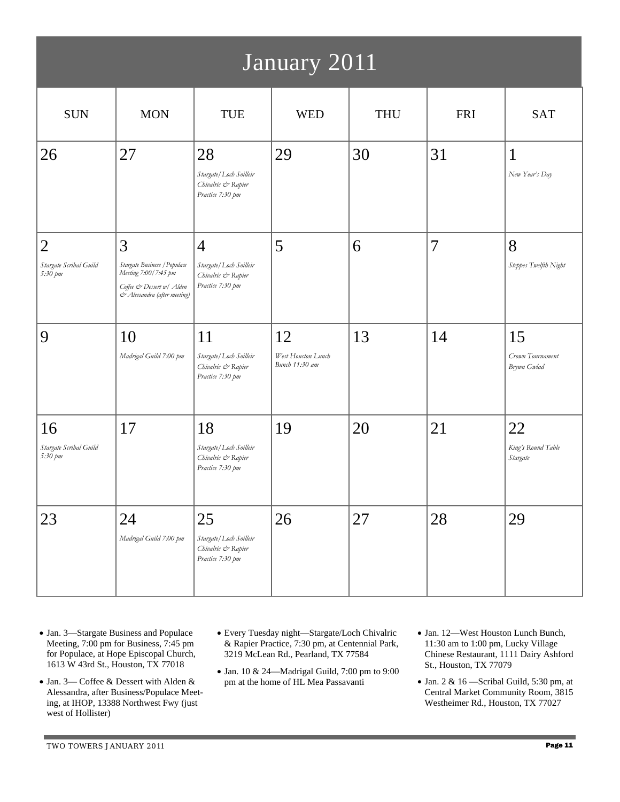| January 2011                                        |                                                                                                                        |                                                                                    |                                            |            |            |                                       |  |  |  |
|-----------------------------------------------------|------------------------------------------------------------------------------------------------------------------------|------------------------------------------------------------------------------------|--------------------------------------------|------------|------------|---------------------------------------|--|--|--|
| <b>SUN</b>                                          | <b>MON</b>                                                                                                             | <b>TUE</b>                                                                         | <b>WED</b>                                 | <b>THU</b> | <b>FRI</b> | <b>SAT</b>                            |  |  |  |
| 26                                                  | 27                                                                                                                     | 28<br>Stargate/Loch Soilleir<br>Chivalric & Rapier<br>Practice 7:30 pm             | 29                                         | 30         | 31         | $\mathbf{1}$<br>New Year's Day        |  |  |  |
| $\overline{2}$<br>Stargate Scribal Guild<br>5:30 pm | 3<br>Stargate Business / Populace<br>Meeting 7:00/7:45 pm<br>Coffee & Dessert w/ Alden<br>& Alessandra (after meeting) | $\overline{4}$<br>Stargate/Loch Soilleir<br>Chivalric & Rapier<br>Practice 7:30 pm | 5                                          | 6          | 7          | 8<br>Steppes Twelfth Night            |  |  |  |
| 9                                                   | 10<br>Madrigal Guild 7:00 pm                                                                                           | 11<br>Stargate/Loch Soilleir<br>Chivalric & Rapier<br>Practice 7:30 pm             | 12<br>West Houston Lunch<br>Bunch 11:30 am | 13         | 14         | 15<br>Crown Tournament<br>Brywn Gwlad |  |  |  |
| 16<br>Stargate Scribal Guild<br>5:30 $pm$           | 17                                                                                                                     | 18<br>Stargate/Loch Soilleir<br>Chivalric & Rapier<br>Practice 7:30 pm             | 19                                         | 20         | 21         | 22<br>King's Round Table<br>Stargate  |  |  |  |
| 23                                                  | 24<br>Madrigal Guild 7:00 pm                                                                                           | 25<br>Stargate/Loch Soilleir<br>Chivalric & Rapier<br>Practice 7:30 pm             | 26                                         | 27         | 28         | 29                                    |  |  |  |

- Jan. 3—Stargate Business and Populace Meeting, 7:00 pm for Business, 7:45 pm for Populace, at Hope Episcopal Church, 1613 W 43rd St., Houston, TX 77018
- Jan. 3— Coffee & Dessert with Alden & Alessandra, after Business/Populace Meeting, at IHOP, 13388 Northwest Fwy (just west of Hollister)
- Every Tuesday night—Stargate/Loch Chivalric & Rapier Practice, 7:30 pm, at Centennial Park, 3219 McLean Rd., Pearland, TX 77584
- Jan. 10 & 24—Madrigal Guild, 7:00 pm to 9:00 pm at the home of HL Mea Passavanti
- Jan. 12—West Houston Lunch Bunch, 11:30 am to 1:00 pm, Lucky Village Chinese Restaurant, 1111 Dairy Ashford St., Houston, TX 77079
- Jan. 2 & 16 —Scribal Guild, 5:30 pm, at Central Market Community Room, 3815 Westheimer Rd., Houston, TX 77027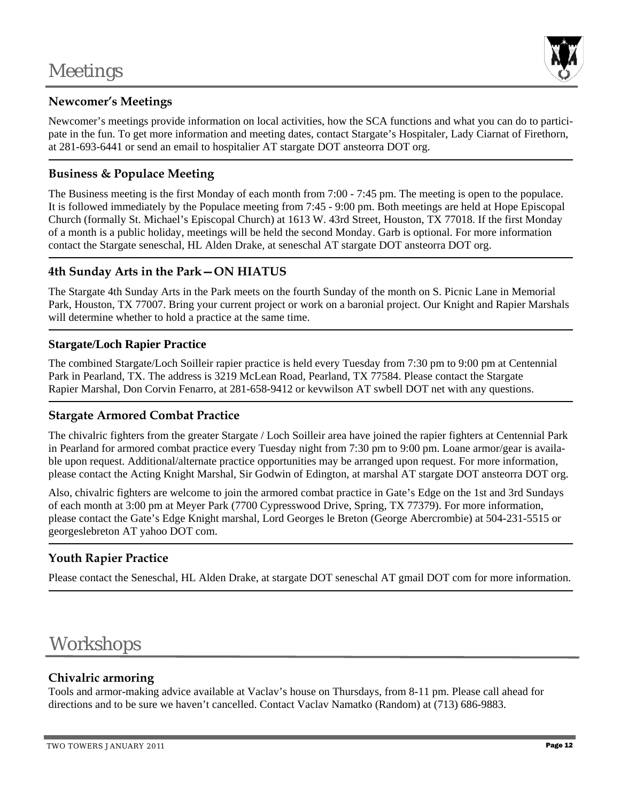

## **Newcomer's Meetings**

Newcomer's meetings provide information on local activities, how the SCA functions and what you can do to participate in the fun. To get more information and meeting dates, contact Stargate's Hospitaler, Lady Ciarnat of Firethorn, at 281-693-6441 or send an email to hospitalier AT stargate DOT ansteorra DOT org.

## **Business & Populace Meeting**

The Business meeting is the first Monday of each month from 7:00 - 7:45 pm. The meeting is open to the populace. It is followed immediately by the Populace meeting from 7:45 - 9:00 pm. Both meetings are held at Hope Episcopal Church (formally St. Michael's Episcopal Church) at 1613 W. 43rd Street, Houston, TX 77018. If the first Monday of a month is a public holiday, meetings will be held the second Monday. Garb is optional. For more information contact the Stargate seneschal, HL Alden Drake, at seneschal AT stargate DOT ansteorra DOT org.

## **4th Sunday Arts in the Park—ON HIATUS**

The Stargate 4th Sunday Arts in the Park meets on the fourth Sunday of the month on S. Picnic Lane in Memorial Park, Houston, TX 77007. Bring your current project or work on a baronial project. Our Knight and Rapier Marshals will determine whether to hold a practice at the same time.

### **Stargate/Loch Rapier Practice**

The combined Stargate/Loch Soilleir rapier practice is held every Tuesday from 7:30 pm to 9:00 pm at Centennial Park in Pearland, TX. The address is 3219 McLean Road, Pearland, TX 77584. Please contact the Stargate Rapier Marshal, Don Corvin Fenarro, at 281-658-9412 or kevwilson AT swbell DOT net with any questions.

## **Stargate Armored Combat Practice**

The chivalric fighters from the greater Stargate / Loch Soilleir area have joined the rapier fighters at Centennial Park in Pearland for armored combat practice every Tuesday night from 7:30 pm to 9:00 pm. Loane armor/gear is available upon request. Additional/alternate practice opportunities may be arranged upon request. For more information, please contact the Acting Knight Marshal, Sir Godwin of Edington, at marshal AT stargate DOT ansteorra DOT org.

Also, chivalric fighters are welcome to join the armored combat practice in Gate's Edge on the 1st and 3rd Sundays of each month at 3:00 pm at Meyer Park (7700 Cypresswood Drive, Spring, TX 77379). For more information, please contact the Gate's Edge Knight marshal, Lord Georges le Breton (George Abercrombie) at 504-231-5515 or georgeslebreton AT yahoo DOT com.

## **Youth Rapier Practice**

Please contact the Seneschal, HL Alden Drake, at stargate DOT seneschal AT gmail DOT com for more information.

## Workshops

### **Chivalric armoring**

Tools and armor-making advice available at Vaclav's house on Thursdays, from 8-11 pm. Please call ahead for directions and to be sure we haven't cancelled. Contact Vaclav Namatko (Random) at (713) 686-9883.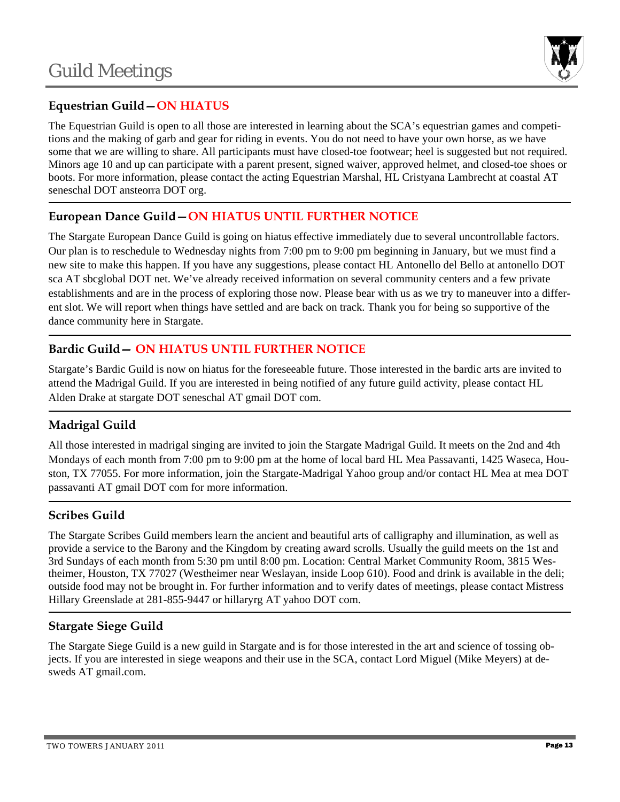

## **Equestrian Guild—ON HIATUS**

The Equestrian Guild is open to all those are interested in learning about the SCA's equestrian games and competitions and the making of garb and gear for riding in events. You do not need to have your own horse, as we have some that we are willing to share. All participants must have closed-toe footwear; heel is suggested but not required. Minors age 10 and up can participate with a parent present, signed waiver, approved helmet, and closed-toe shoes or boots. For more information, please contact the acting Equestrian Marshal, HL Cristyana Lambrecht at coastal AT seneschal DOT ansteorra DOT org.

## **European Dance Guild—ON HIATUS UNTIL FURTHER NOTICE**

The Stargate European Dance Guild is going on hiatus effective immediately due to several uncontrollable factors. Our plan is to reschedule to Wednesday nights from 7:00 pm to 9:00 pm beginning in January, but we must find a new site to make this happen. If you have any suggestions, please contact HL Antonello del Bello at antonello DOT sca AT sbcglobal DOT net. We've already received information on several community centers and a few private establishments and are in the process of exploring those now. Please bear with us as we try to maneuver into a different slot. We will report when things have settled and are back on track. Thank you for being so supportive of the dance community here in Stargate.

## **Bardic Guild— ON HIATUS UNTIL FURTHER NOTICE**

Stargate's Bardic Guild is now on hiatus for the foreseeable future. Those interested in the bardic arts are invited to attend the Madrigal Guild. If you are interested in being notified of any future guild activity, please contact HL Alden Drake at stargate DOT seneschal AT gmail DOT com.

## **Madrigal Guild**

All those interested in madrigal singing are invited to join the Stargate Madrigal Guild. It meets on the 2nd and 4th Mondays of each month from 7:00 pm to 9:00 pm at the home of local bard HL Mea Passavanti, 1425 Waseca, Houston, TX 77055. For more information, join the Stargate-Madrigal Yahoo group and/or contact HL Mea at mea DOT passavanti AT gmail DOT com for more information.

## **Scribes Guild**

The Stargate Scribes Guild members learn the ancient and beautiful arts of calligraphy and illumination, as well as provide a service to the Barony and the Kingdom by creating award scrolls. Usually the guild meets on the 1st and 3rd Sundays of each month from 5:30 pm until 8:00 pm. Location: Central Market Community Room, 3815 Westheimer, Houston, TX 77027 (Westheimer near Weslayan, inside Loop 610). Food and drink is available in the deli; outside food may not be brought in. For further information and to verify dates of meetings, please contact Mistress Hillary Greenslade at 281-855-9447 or hillaryrg AT yahoo DOT com.

## **Stargate Siege Guild**

The Stargate Siege Guild is a new guild in Stargate and is for those interested in the art and science of tossing objects. If you are interested in siege weapons and their use in the SCA, contact Lord Miguel (Mike Meyers) at desweds AT gmail.com.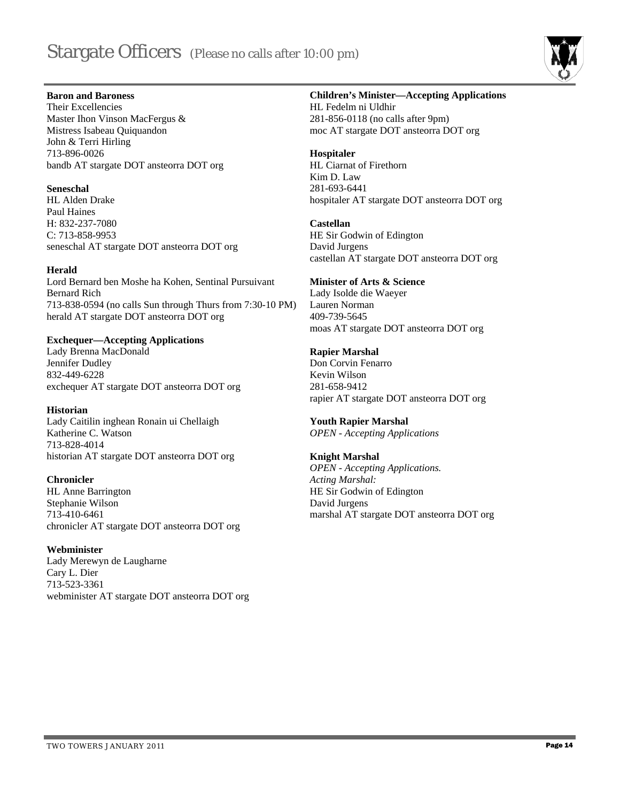

### **Baron and Baroness**

Their Excellencies Master Ihon Vinson MacFergus & Mistress Isabeau Quiquandon John & Terri Hirling 713-896-0026 bandb AT stargate DOT ansteorra DOT org

#### **Seneschal**

HL Alden Drake Paul Haines H: 832-237-7080 C: 713-858-9953 seneschal AT stargate DOT ansteorra DOT org

### **Herald**

Lord Bernard ben Moshe ha Kohen, Sentinal Pursuivant Bernard Rich 713-838-0594 (no calls Sun through Thurs from 7:30-10 PM) herald AT stargate DOT ansteorra DOT org

### **Exchequer—Accepting Applications**

Lady Brenna MacDonald Jennifer Dudley 832-449-6228 exchequer AT stargate DOT ansteorra DOT org

#### **Historian**

Lady Caitilin inghean Ronain ui Chellaigh Katherine C. Watson 713-828-4014 historian AT stargate DOT ansteorra DOT org

#### **Chronicler**

HL Anne Barrington Stephanie Wilson 713-410-6461 chronicler AT stargate DOT ansteorra DOT org

#### **Webminister**

Lady Merewyn de Laugharne Cary L. Dier 713-523-3361 webminister AT stargate DOT ansteorra DOT org

### **Children's Minister—Accepting Applications**

HL Fedelm ni Uldhir 281-856-0118 (no calls after 9pm) moc AT stargate DOT ansteorra DOT org

**Hospitaler** 

HL Ciarnat of Firethorn Kim D. Law 281-693-6441 hospitaler AT stargate DOT ansteorra DOT org

**Castellan**  HE Sir Godwin of Edington David Jurgens castellan AT stargate DOT ansteorra DOT org

### **Minister of Arts & Science**

Lady Isolde die Waeyer Lauren Norman 409-739-5645 moas AT stargate DOT ansteorra DOT org

**Rapier Marshal**  Don Corvin Fenarro Kevin Wilson 281-658-9412 rapier AT stargate DOT ansteorra DOT org

**Youth Rapier Marshal**  *OPEN - Accepting Applications* 

#### **Knight Marshal**

*OPEN - Accepting Applications. Acting Marshal:*  HE Sir Godwin of Edington David Jurgens marshal AT stargate DOT ansteorra DOT org